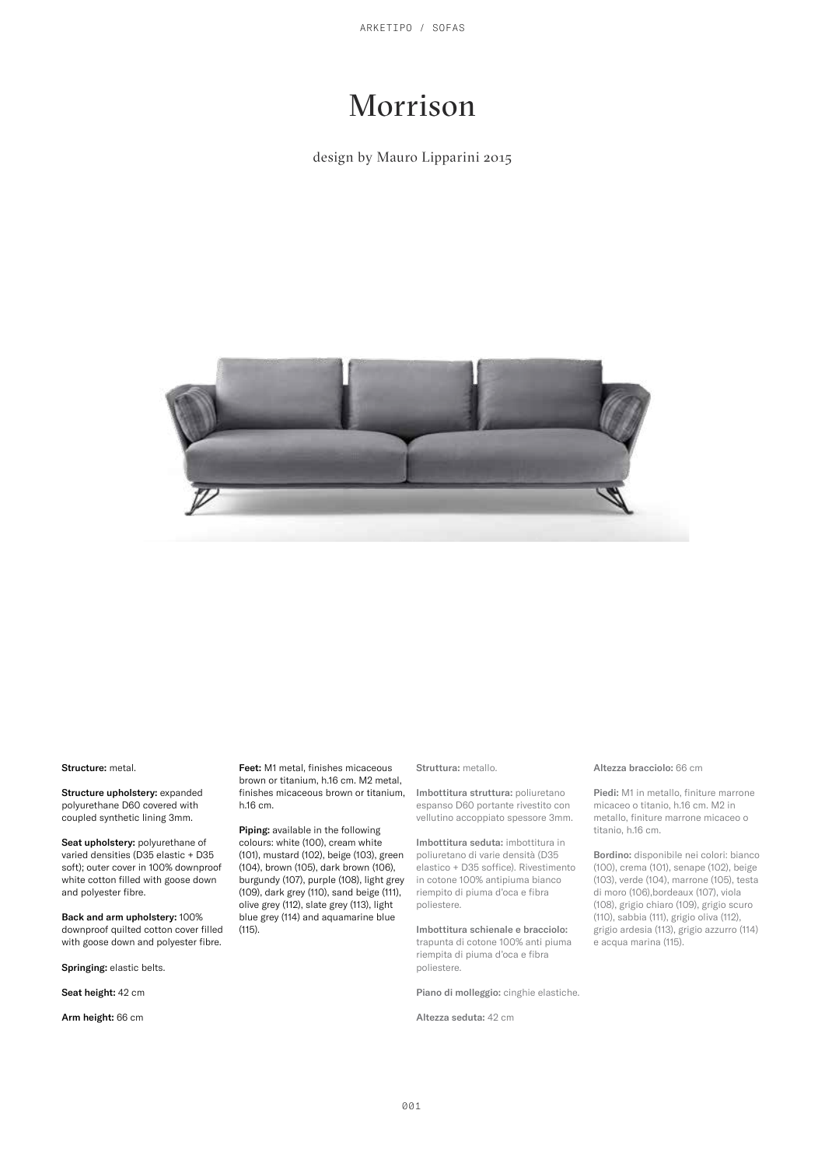ARKETIPO / SOFAS

# Morrison

## design by Mauro Lipparini 2015



Structure: metal.

Structure upholstery: expanded polyurethane D60 covered with coupled synthetic lining 3mm.

Seat upholstery: polyurethane of varied densities (D35 elastic + D35 soft); outer cover in 100% downproof white cotton filled with goose down and polyester fibre.

Back and arm upholstery: 100% downproof quilted cotton cover filled with goose down and polyester fibre.

Springing: elastic belts.

Seat height: 42 cm

Arm height: 66 cm

Feet: M1 metal, finishes micaceous brown or titanium, h.16 cm. M2 metal, finishes micaceous brown or titanium, h.16 cm.

Piping: available in the following colours: white (100), cream white (101), mustard (102), beige (103), green (104), brown (105), dark brown (106), burgundy (107), purple (108), light grey (109), dark grey (110), sand beige (111), olive grey (112), slate grey (113), light blue grey (114) and aquamarine blue (115).

### Struttura: metallo.

Imbottitura struttura: poliuretano espanso D60 portante rivestito con vellutino accoppiato spessore 3mm.

Imbottitura seduta: imbottitura in poliuretano di varie densità (D35 elastico + D35 soffice). Rivestimento in cotone 100% antipiuma bianco riempito di piuma d'oca e fibra poliestere.

Imbottitura schienale e bracciolo: trapunta di cotone 100% anti piuma riempita di piuma d'oca e fibra poliestere.

Piano di molleggio: cinghie elastiche.

Altezza seduta: 42 cm

#### Altezza bracciolo: 66 cm

Piedi: M1 in metallo, finiture marrone micaceo o titanio, h.16 cm. M2 in metallo, finiture marrone micaceo o titanio, h.16 cm.

Bordino: disponibile nei colori: bianco (100), crema (101), senape (102), beige (103), verde (104), marrone (105), testa di moro (106),bordeaux (107), viola (108), grigio chiaro (109), grigio scuro (110), sabbia (111), grigio oliva (112), grigio ardesia (113), grigio azzurro (114) e acqua marina (115).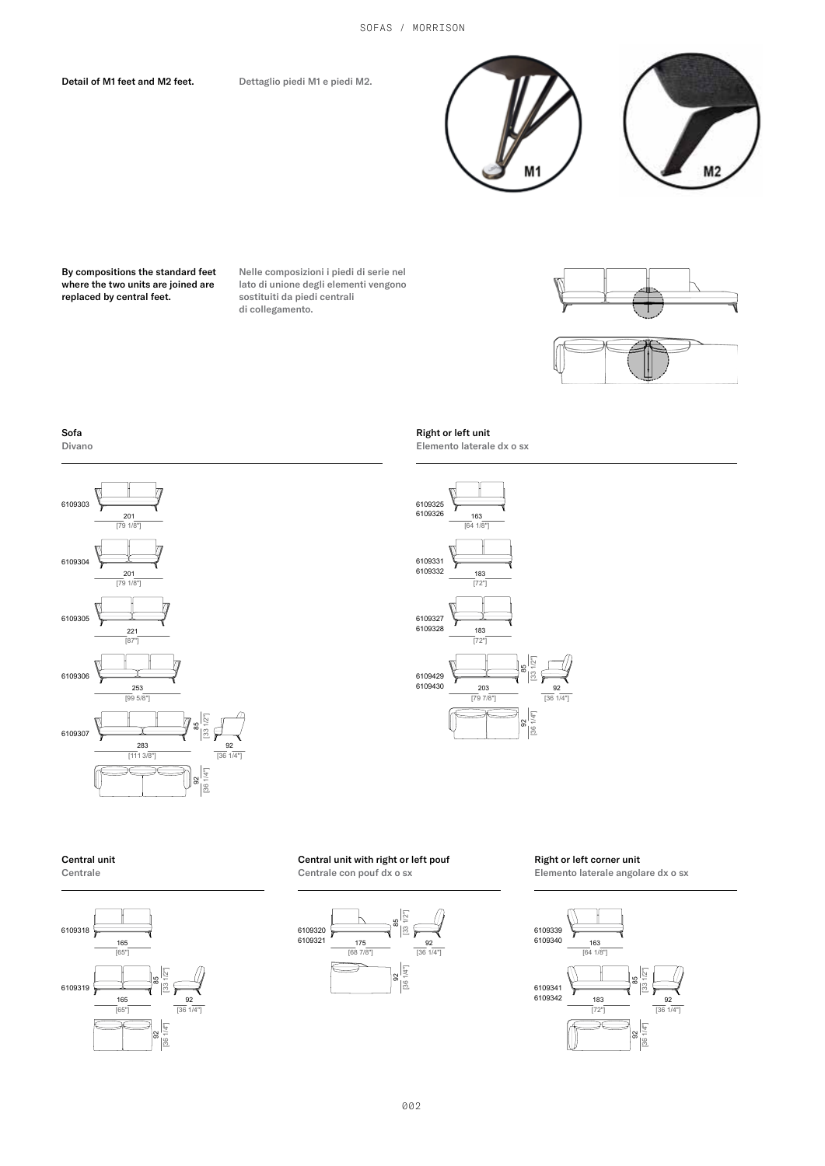Detail of M1 feet and M2 feet.

Dettaglio piedi M1 e piedi M2.



By compositions the standard feet where the two units are joined are more the this and is replaced by central feet.

Nelle composizioni i piedi di serie nel lato di unione degli elementi vengono sostituiti da piedi centrali di collegamento.





Sofa Divano







### Central unit Centrale





# Central unit with right or left pouf

Centrale con pouf dx o sx



### Right or left corner unit

Elemento laterale angolare dx o sx